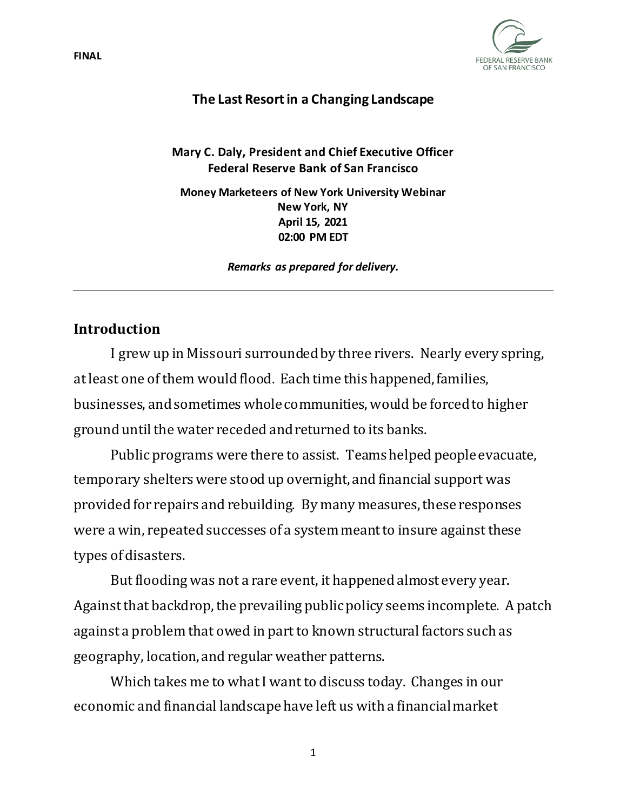

### **The Last Resort in a Changing Landscape**

**Mary C. Daly, President and Chief Executive Officer Federal Reserve Bank of San Francisco**

**Money Marketeers of New York University Webinar New York, NY April 15, 2021 02:00 PM EDT**

*Remarks as prepared for delivery.*

### **Introduction**

I grew up in Missouri surrounded by three rivers. Nearly every spring, at least one of them would flood. Each time this happened, families, businesses, and sometimes whole communities, would be forced to higher ground until the water receded and returned to its banks.

Public programs were there to assist. Teams helped people evacuate, temporary shelters were stood up overnight, and financial support was provided for repairs and rebuilding. By many measures, theseresponses were a win, repeated successes of a system meant to insure against these types of disasters.

But flooding was not a rare event, it happened almost every year. Against that backdrop, the prevailing public policy seems incomplete. A patch against a problem that owed in part to known structural factors such as geography, location, and regular weather patterns.

Which takes me to what I want to discuss today. Changes in our economic and financial landscape have left us with a financial market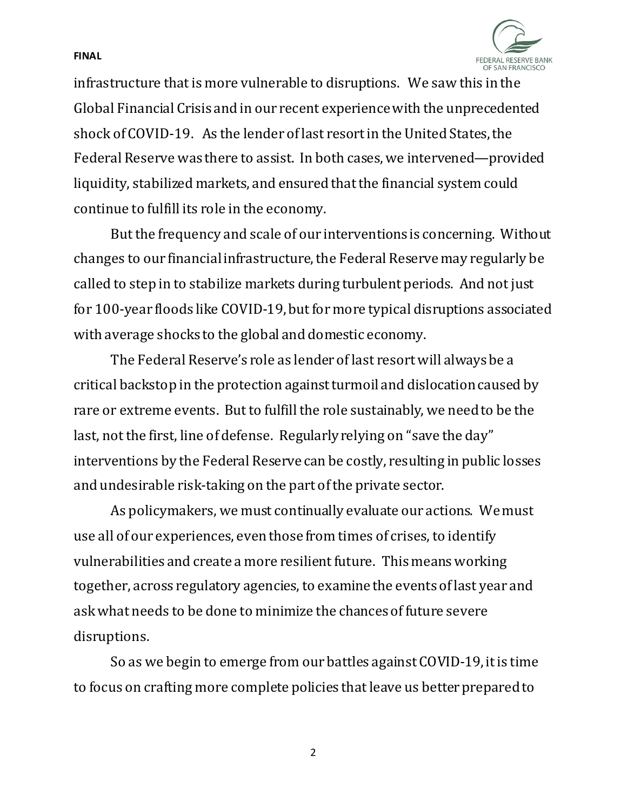FEDERAL RESERVE BANK OF SAN FRANCISCO

infrastructure that is more vulnerable to disruptions. We saw this in the Global Financial Crisis and in our recent experience with the unprecedented shock of COVID-19. As the lender of last resort in the United States, the Federal Reserve was there to assist. In both cases, we intervened—provided liquidity, stabilized markets, and ensured that the financial system could continue to fulfill its role in the economy.

**FINAL**

But the frequency and scale of our interventions is concerning. Without changes to our financial infrastructure, the Federal Reserve may regularly be called to step in to stabilize markets during turbulent periods. And not just for 100-year floods like COVID-19, but for more typical disruptions associated with average shocks to the global and domestic economy.

The Federal Reserve's role as lender of last resort will always be a critical backstop in the protection against turmoil and dislocation caused by rare or extreme events. But to fulfill the role sustainably, we need to be the last, not the first, line of defense. Regularly relying on "save the day" interventions by the Federal Reserve can be costly, resulting in public losses and undesirable risk-taking on the part of the private sector.

As policymakers, we must continually evaluate our actions. We must use all of our experiences, even those from times of crises, to identify vulnerabilities and create a more resilient future. This means working together, across regulatory agencies, to examine the events of last year and ask what needs to be done to minimize the chances of future severe disruptions.

So as we begin to emerge from our battles against COVID-19, it is time to focus on crafting more complete policies that leave us better prepared to

2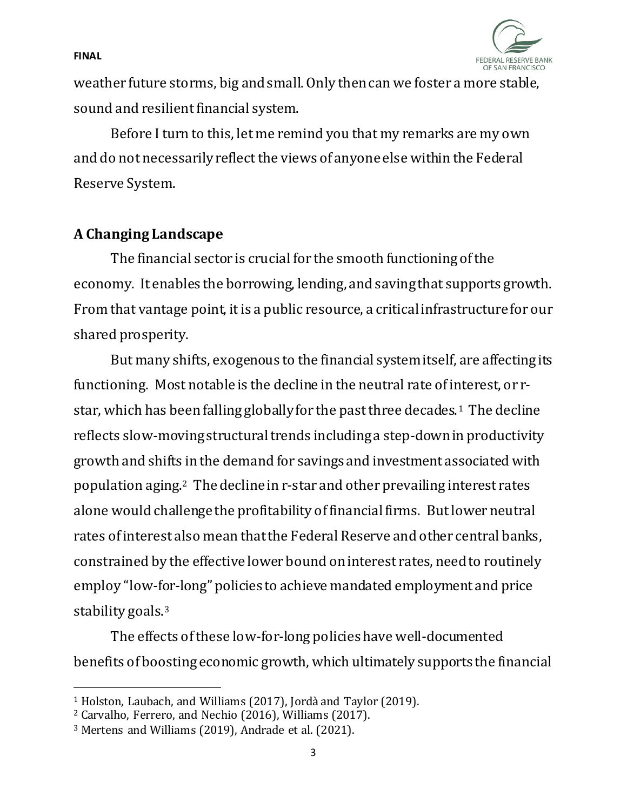

weather future storms, big and small. Only then can we foster a more stable, sound and resilient financial system.

Before I turn to this, let me remind you that my remarks are my own and do not necessarily reflect the views of anyone else within the Federal Reserve System.

# **A Changing Landscape**

The financial sector is crucial for the smooth functioning of the economy. It enables the borrowing, lending, and saving that supports growth. From that vantage point, it is a public resource, a critical infrastructure for our shared prosperity.

But many shifts, exogenous to the financial system itself, are affecting its functioning. Most notable is the decline in the neutral rate of interest, or rstar, which has been falling globally for the past three decades.[1](#page-2-0) The decline reflects slow-moving structural trends including a step-down in productivity growth and shifts in the demand for savings and investment associated with population aging[.2](#page-2-1) The decline in r-star and other prevailing interest rates alone would challenge the profitability of financial firms. But lower neutral rates of interest also mean that the Federal Reserve and other central banks, constrained by the effective lower bound on interest rates, need to routinely employ "low-for-long" policies to achieve mandated employment and price stability goals.<sup>3</sup>

The effects of these low-for-long policieshave well-documented benefits of boosting economic growth, which ultimately supports the financial

<span id="page-2-0"></span><sup>1</sup> Holston, Laubach, and Williams (2017), Jordà and Taylor (2019).

<span id="page-2-1"></span><sup>2</sup> Carvalho, Ferrero, and Nechio (2016), Williams (2017).

<span id="page-2-2"></span><sup>3</sup> Mertens and Williams (2019), Andrade et al. (2021).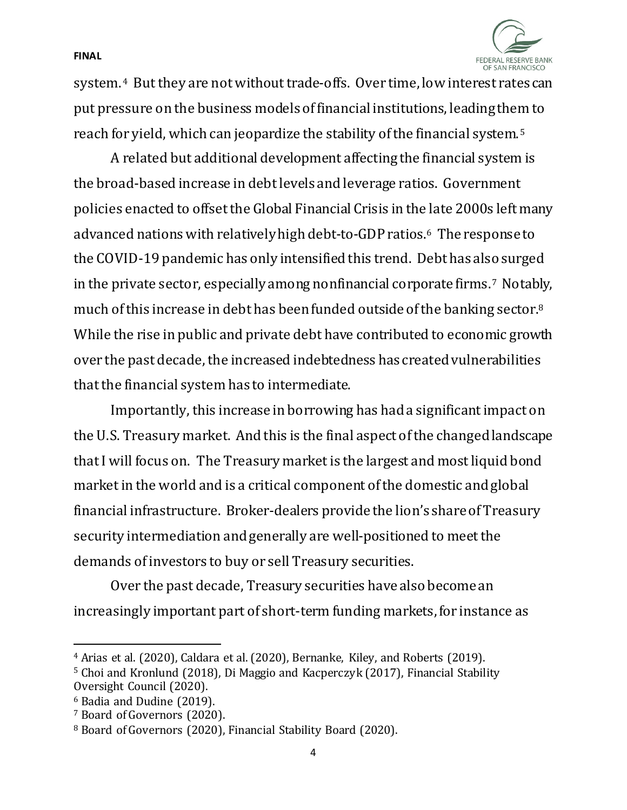

system.[4](#page-3-0) But they are not without trade-offs. Over time, low interest rates can put pressure on the business models of financial institutions, leading them to reach for yield, which can jeopardize the stability of the financial system.[5](#page-3-1) 

A related but additional development affecting the financial system is the broad-based increase in debt levels and leverage ratios. Government policies enacted to offset the Global Financial Crisis in the late 2000s left many advanced nations with relatively high debt-to-GDP ratios.[6](#page-3-2) The response to the COVID-19 pandemic has only intensified this trend. Debt has also surged in the private sector, especially among nonfinancial corporate firms.[7](#page-3-3) Notably, much of this increase in debt has been funded outside of the banking sector[.8](#page-3-4) While the rise in public and private debt have contributed to economic growth over the past decade, the increased indebtedness has created vulnerabilities that the financial system has to intermediate.

Importantly, this increase in borrowing has had a significant impact on the U.S. Treasury market. And this is the final aspect of the changed landscape that I will focus on. The Treasury market is the largest and most liquid bond market in the world and is a critical component of the domestic and global financial infrastructure. Broker-dealers provide the lion's share of Treasury security intermediation and generally are well-positioned to meet the demands of investors to buy or sell Treasury securities.

Over the past decade, Treasury securities have also become an increasingly important part of short-term funding markets, for instance as

<span id="page-3-1"></span><span id="page-3-0"></span><sup>&</sup>lt;sup>4</sup> Arias et al. (2020), Caldara et al. (2020), Bernanke, Kiley, and Roberts (2019).<br><sup>5</sup> Choi and Kronlund (2018), Di Maggio and Kacperczyk (2017), Financial Stability

Oversight Council (2020).

<span id="page-3-2"></span><sup>6</sup> Badia and Dudine (2019).

<span id="page-3-3"></span><sup>7</sup> Board of Governors (2020).

<span id="page-3-4"></span><sup>8</sup> Board of Governors (2020), Financial Stability Board (2020).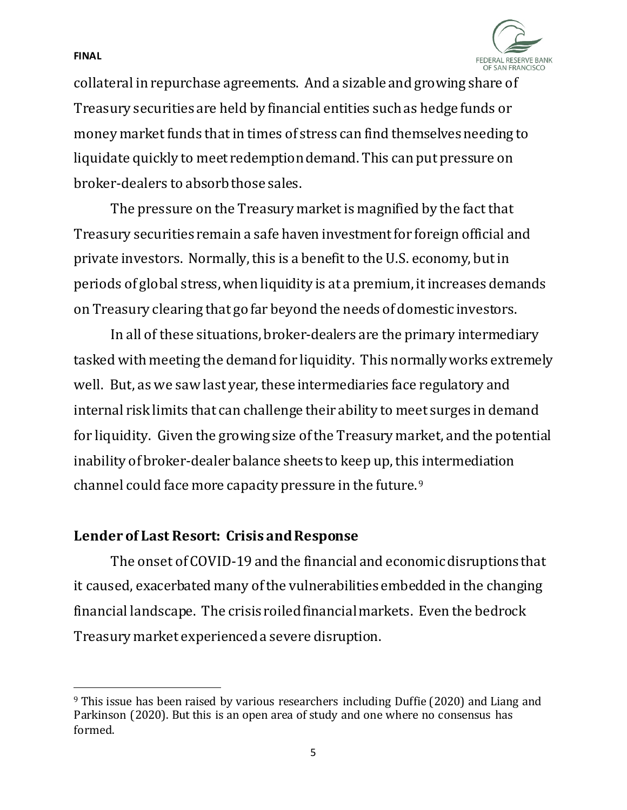FEDERAL RESERVE BANK OF SAN FRANCISCO

collateral in repurchase agreements. And a sizable and growing share of Treasury securities are held by financial entities such as hedge funds or money market funds that in times of stress can find themselves needing to liquidate quickly to meet redemption demand. This can put pressure on broker-dealers to absorb those sales.

The pressure on the Treasury market is magnified by the fact that Treasury securities remain a safe haven investment for foreign official and private investors. Normally, this is a benefit to the U.S. economy, but in periods of global stress, when liquidity is at a premium, it increases demands on Treasury clearing that go far beyond the needs of domestic investors.

In all of these situations, broker-dealers are the primary intermediary tasked with meeting the demand for liquidity. This normally works extremely well. But, as we saw last year, these intermediaries face regulatory and internal risk limits that can challenge their ability to meet surges in demand for liquidity. Given the growing size of the Treasury market, and the potential inability of broker-dealer balance sheets to keep up, this intermediation channel could face more capacity pressure in the future.[9](#page-4-0) 

## **Lender of Last Resort: Crisis and Response**

The onset of COVID-19 and the financial and economic disruptions that it caused, exacerbated many of the vulnerabilities embedded in the changing financial landscape. The crisis roiled financial markets. Even the bedrock Treasury market experienced a severe disruption.

#### **FINAL**

<span id="page-4-0"></span><sup>&</sup>lt;sup>9</sup> This issue has been raised by various researchers including Duffie (2020) and Liang and Parkinson (2020). But this is an open area of study and one where no consensus has formed.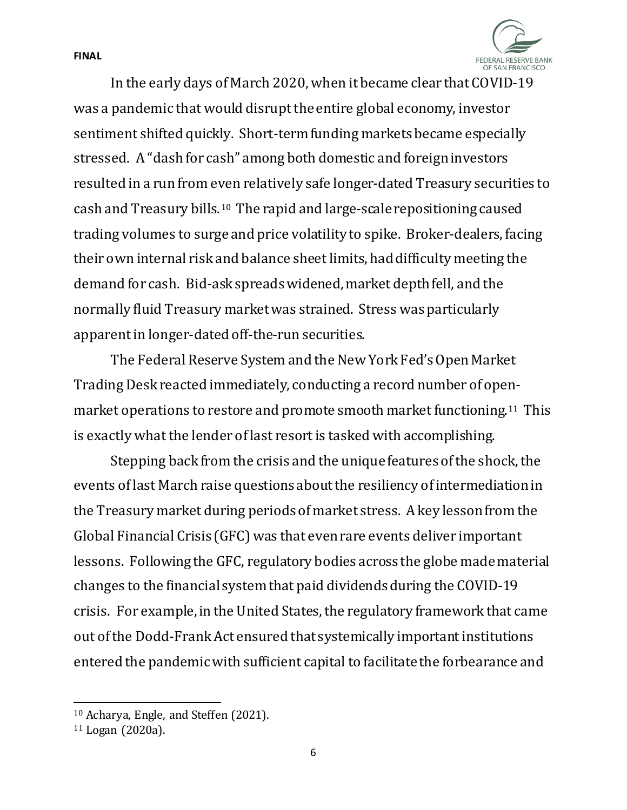

In the early days of March 2020, when it became clear that COVID-19 was a pandemic that would disrupt the entire global economy, investor sentiment shifted quickly. Short-term funding markets became especially stressed. A "dash for cash" among both domestic and foreign investors resulted in a run from even relatively safe longer-dated Treasury securities to cash and Treasury bills.[10](#page-5-0) The rapid and large-scale repositioning caused trading volumes to surge and price volatility to spike. Broker-dealers, facing their own internal risk and balance sheet limits, had difficulty meeting the demand for cash. Bid-ask spreads widened, market depth fell, and the normally fluid Treasury market was strained. Stress was particularly apparent in longer-dated off-the-run securities.

The Federal Reserve System and the New York Fed's Open Market Trading Desk reacted immediately, conducting a record number of openmarket operations to restore and promote smooth market functioning.[11](#page-5-1) This is exactly what the lender of last resort is tasked with accomplishing.

Stepping back from the crisis and the unique features of the shock, the events of last March raise questions about the resiliency of intermediation in the Treasury market during periods of market stress. Akey lesson from the Global Financial Crisis (GFC) was that even rare events deliver important lessons. Following the GFC, regulatory bodies across the globe made material changes to the financial system that paid dividends during the COVID-19 crisis. For example, in the United States, the regulatory framework that came out of the Dodd-Frank Act ensured that systemically important institutions entered the pandemic with sufficient capital to facilitate the forbearance and

<span id="page-5-0"></span><sup>10</sup> Acharya, Engle, and Steffen (2021).

<span id="page-5-1"></span><sup>11</sup> Logan (2020a).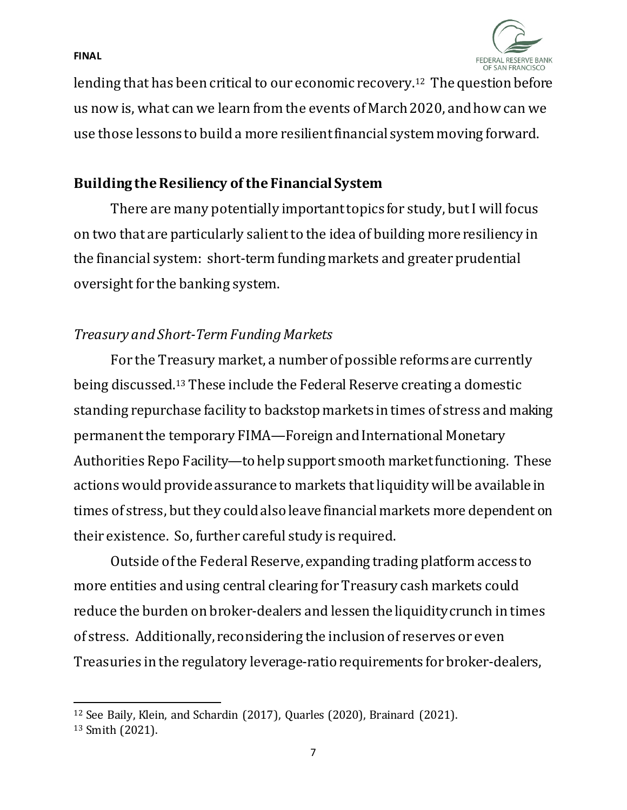FFDFRAI RESERVE BANK OF SAN FRANCISCO

**FINAL**

lending that has been critical to our economic recovery.[12](#page-6-0) The question before us now is, what can we learn from the events of March 2020, and how can we use those lessons to build a more resilient financial systemmoving forward.

## **Building the Resiliency of the Financial System**

There are many potentially important topics for study, but I will focus on two that are particularly salient to the idea of building more resiliency in the financial system: short-term funding markets and greater prudential oversight for the banking system.

## *Treasury and Short-Term Funding Markets*

For the Treasury market, a number of possible reforms are currently being discussed.[13](#page-6-1) These include the Federal Reserve creating a domestic standing repurchase facility to backstop markets in times of stress and making permanent the temporary FIMA—Foreign and International Monetary Authorities Repo Facility—to help support smooth market functioning. These actions would provide assurance to markets that liquidity will be available in times of stress, but they could also leave financial markets more dependent on their existence. So, further careful study is required.

Outside of the Federal Reserve, expanding trading platform access to more entities and using central clearing for Treasury cash markets could reduce the burden on broker-dealers and lessen the liquidity crunch in times of stress. Additionally, reconsidering the inclusion of reserves or even Treasuries in the regulatory leverage-ratio requirements for broker-dealers,

<span id="page-6-1"></span><span id="page-6-0"></span><sup>12</sup> See Baily, Klein, and Schardin (2017), Quarles (2020), Brainard (2021).

<sup>13</sup> Smith (2021).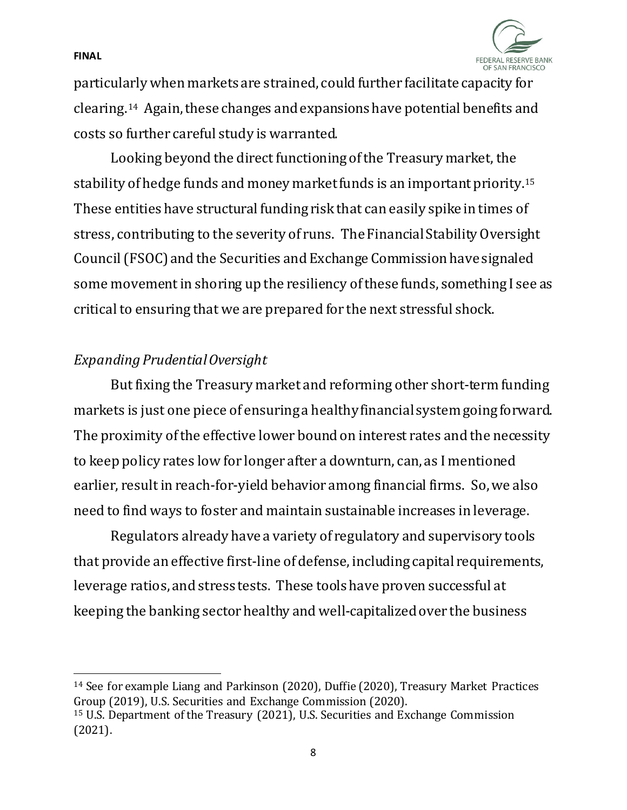

particularly when markets are strained, could further facilitate capacity for clearing.[14](#page-7-0) Again, these changes and expansions have potential benefits and costs so further careful study is warranted.

Looking beyond the direct functioning ofthe Treasury market, the stability of hedge funds and money market funds is an important priority.[15](#page-7-1) These entities have structural funding risk that can easily spike in times of stress, contributing to the severity of runs. The Financial Stability Oversight Council(FSOC)and the Securities and Exchange Commission have signaled some movement in shoring up the resiliency of these funds, something I see as critical to ensuring that we are prepared for the next stressful shock.

### *Expanding Prudential Oversight*

But fixing the Treasury market and reforming other short-term funding markets is just one piece of ensuring a healthy financial system going forward. The proximity of the effective lower bound on interest rates and the necessity to keep policy rates low for longer after a downturn, can, as I mentioned earlier, result in reach-for-yield behavior among financial firms. So,we also need to find ways to foster and maintain sustainable increases in leverage.

Regulators already have a variety of regulatory and supervisory tools that provide an effective first-line of defense, including capital requirements, leverage ratios, and stress tests. These tools have proven successful at keeping the banking sector healthy and well-capitalized over the business

<span id="page-7-0"></span><sup>14</sup> See for example Liang and Parkinson (2020), Duffie (2020), Treasury Market Practices Group (2019), U.S. Securities and Exchange Commission (2020).

<span id="page-7-1"></span><sup>15</sup> U.S. Department of the Treasury (2021), U.S. Securities and Exchange Commission (2021).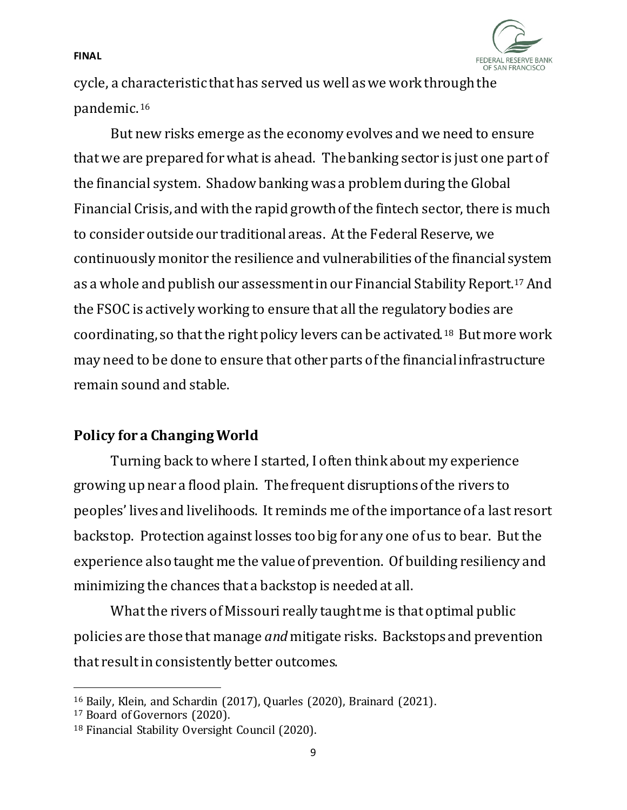

cycle, a characteristic that has served us well as we work through the pandemic.[16](#page-8-0)

But new risks emerge as the economy evolves and we need to ensure that we are prepared for what is ahead. The banking sector is just one part of the financial system. Shadow banking was a problem during the Global Financial Crisis, and with the rapid growth of the fintech sector, there is much to consider outside our traditional areas. At the Federal Reserve, we continuously monitor the resilience and vulnerabilities of the financial system as a whole and publish our assessment in our Financial Stability Report[.17](#page-8-1) And the FSOC is actively working to ensure that all the regulatory bodies are coordinating, so that the right policy levers can be activated.[18](#page-8-2) But more work may need to be done to ensure that other parts of the financial infrastructure remain sound and stable.

# **Policy for a Changing World**

Turning back to where I started, I often think about my experience growing up near a flood plain. The frequent disruptions of the rivers to peoples' lives and livelihoods. It reminds me of the importance of a last resort backstop. Protection against losses too big for any one of us to bear. But the experience also taught me the valueof prevention. Of building resiliency and minimizing the chances that a backstop is needed at all.

What the rivers of Missouri really taught me is that optimal public policies are those that manage *and* mitigate risks. Backstops and prevention that result in consistently better outcomes.

<span id="page-8-0"></span><sup>16</sup> Baily, Klein, and Schardin (2017), Quarles (2020), Brainard (2021).

<span id="page-8-1"></span><sup>17</sup> Board of Governors (2020).

<span id="page-8-2"></span><sup>18</sup> Financial Stability Oversight Council (2020).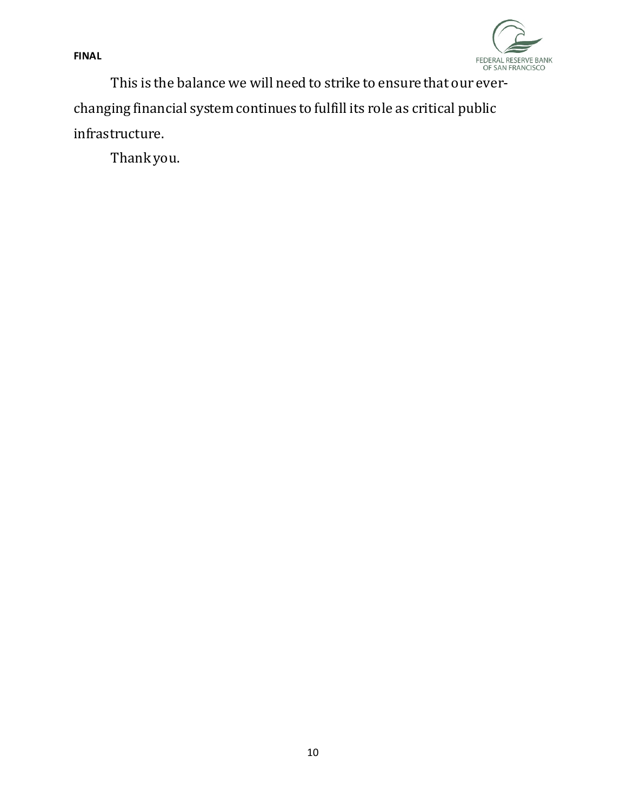

This is the balance we will need to strike to ensure that our everchanging financial system continues to fulfill its role as critical public infrastructure.

Thank you.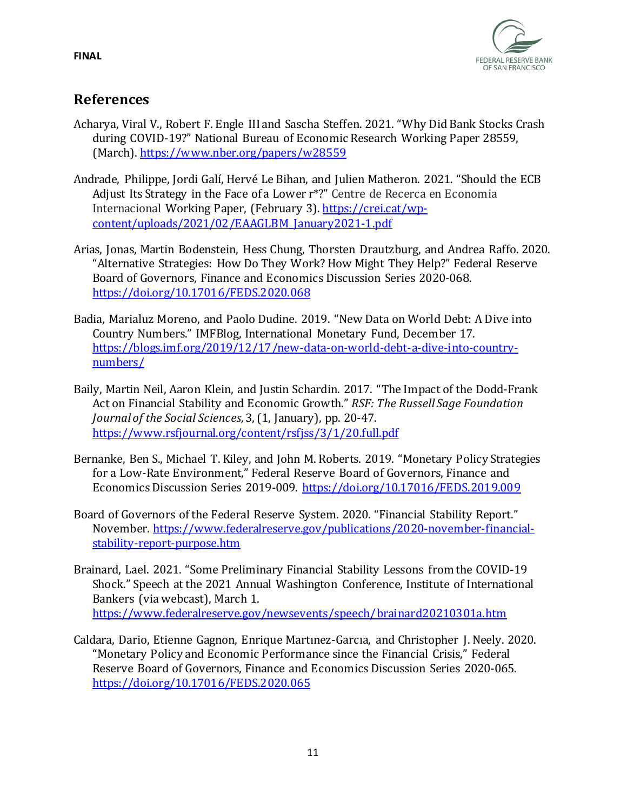

# **References**

- Acharya, Viral V., Robert F. Engle III and Sascha Steffen. 2021. "Why Did Bank Stocks Crash during COVID-19?" National Bureau of Economic Research Working Paper 28559, (March).<https://www.nber.org/papers/w28559>
- Andrade, Philippe, Jordi Galí, Hervé Le Bihan, and Julien Matheron. 2021. "Should the ECB Adjust Its Strategy in the Face of a Lower r\*?" Centre de Recerca en Economia Internacional Working Paper, (February 3). [https://crei.cat/wp](https://crei.cat/wp-content/uploads/2021/02/EAAGLBM_January2021-1.pdf)[content/uploads/2021/02/EAAGLBM\\_January2021-1.pdf](https://crei.cat/wp-content/uploads/2021/02/EAAGLBM_January2021-1.pdf)
- Arias, Jonas, Martin Bodenstein, Hess Chung, Thorsten Drautzburg, and Andrea Raffo. 2020. "Alternative Strategies: How Do They Work? How Might They Help?" Federal Reserve Board of Governors, Finance and Economics Discussion Series 2020-068. <https://doi.org/10.17016/FEDS.2020.068>
- Badia, Marialuz Moreno, and Paolo Dudine. 2019. "New Data on World Debt: A Dive into Country Numbers." IMFBlog, International Monetary Fund, December 17. [https://blogs.imf.org/2019/12/17/new-data-on-world-debt-a-dive-into-country](https://blogs.imf.org/2019/12/17/new-data-on-world-debt-a-dive-into-country-numbers/)[numbers/](https://blogs.imf.org/2019/12/17/new-data-on-world-debt-a-dive-into-country-numbers/)
- Baily, Martin Neil, Aaron Klein, and Justin Schardin. 2017. "The Impact of the Dodd-Frank Act on Financial Stability and Economic Growth." *RSF: The Russell Sage Foundation Journal of the Social Sciences,*3, (1, January), pp. 20-47. <https://www.rsfjournal.org/content/rsfjss/3/1/20.full.pdf>
- Bernanke, Ben S., Michael T. Kiley, and John M. Roberts. 2019. "Monetary Policy Strategies for a Low-Rate Environment," Federal Reserve Board of Governors, Finance and Economics Discussion Series 2019-009.<https://doi.org/10.17016/FEDS.2019.009>
- Board of Governors of the Federal Reserve System. 2020. "Financial Stability Report." November. [https://www.federalreserve.gov/publications/2020-november-financial](https://www.federalreserve.gov/publications/2020-november-financial-stability-report-purpose.htm)[stability-report-purpose.htm](https://www.federalreserve.gov/publications/2020-november-financial-stability-report-purpose.htm)
- Brainard, Lael. 2021. "Some Preliminary Financial Stability Lessons from the COVID-19 Shock." Speech at the 2021 Annual Washington Conference, Institute of International Bankers (via webcast), March 1. <https://www.federalreserve.gov/newsevents/speech/brainard20210301a.htm>
- Caldara, Dario, Etienne Gagnon, Enrique Martınez-Garcıa, and Christopher J. Neely. 2020. "Monetary Policy and Economic Performance since the Financial Crisis," Federal Reserve Board of Governors, Finance and Economics Discussion Series 2020-065. <https://doi.org/10.17016/FEDS.2020.065>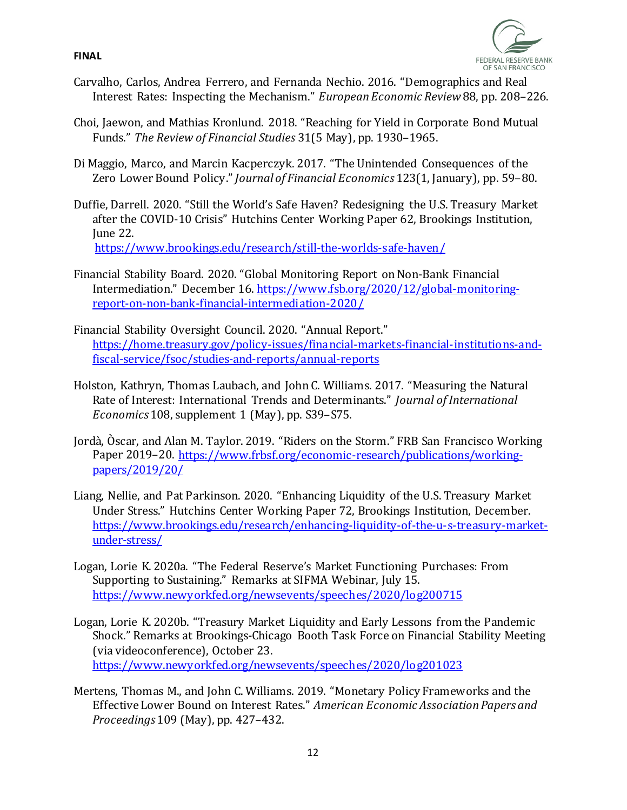

- Carvalho, Carlos, Andrea Ferrero, and Fernanda Nechio. 2016. "Demographics and Real Interest Rates: Inspecting the Mechanism." *European Economic Review*88, pp. 208–226.
- Choi, Jaewon, and Mathias Kronlund. 2018. "Reaching for Yield in Corporate Bond Mutual Funds." *The Review of Financial Studies* 31(5 May), pp. 1930–1965.
- Di Maggio, Marco, and Marcin Kacperczyk. 2017. "The Unintended Consequences of the Zero Lower Bound Policy." *Journal of Financial Economics* 123(1, January), pp. 59–80.
- Duffie, Darrell. 2020. "Still the World's Safe Haven? Redesigning the U.S. Treasury Market after the COVID-10 Crisis" Hutchins Center Working Paper 62, Brookings Institution, June 22. <https://www.brookings.edu/research/still-the-worlds-safe-haven/>

Financial Stability Board. 2020. "Global Monitoring Report on Non-Bank Financial Intermediation." December 16[. https://www.fsb.org/2020/12/global-monitoring](https://www.fsb.org/2020/12/global-monitoring-report-on-non-bank-financial-intermediation-2020/)[report-on-non-bank-financial-intermediation-2020/](https://www.fsb.org/2020/12/global-monitoring-report-on-non-bank-financial-intermediation-2020/)

- Financial Stability Oversight Council. 2020. "Annual Report." [https://home.treasury.gov/policy-issues/financial-markets-financial-institutions-and](https://home.treasury.gov/policy-issues/financial-markets-financial-institutions-and-fiscal-service/fsoc/studies-and-reports/annual-reports)[fiscal-service/fsoc/studies-and-reports/annual-reports](https://home.treasury.gov/policy-issues/financial-markets-financial-institutions-and-fiscal-service/fsoc/studies-and-reports/annual-reports)
- Holston, Kathryn, Thomas Laubach, and John C. Williams. 2017. "Measuring the Natural Rate of Interest: International Trends and Determinants." *Journal of International Economics* 108, supplement 1 (May), pp. S39–S75.
- Jordà, Òscar, and Alan M. Taylor. 2019. "Riders on the Storm." FRB San Francisco Working Paper 2019–20. [https://www.frbsf.org/economic-research/publications/working](https://www.frbsf.org/economic-research/publications/working-papers/2019/20/)[papers/2019/20/](https://www.frbsf.org/economic-research/publications/working-papers/2019/20/)
- Liang, Nellie, and Pat Parkinson. 2020. "Enhancing Liquidity of the U.S. Treasury Market Under Stress." Hutchins Center Working Paper 72, Brookings Institution, December. [https://www.brookings.edu/research/enhancing-liquidity-of-the-u-s-treasury-market](https://www.brookings.edu/research/enhancing-liquidity-of-the-u-s-treasury-market-under-stress/)[under-stress/](https://www.brookings.edu/research/enhancing-liquidity-of-the-u-s-treasury-market-under-stress/)
- Logan, Lorie K. 2020a. "The Federal Reserve's Market Functioning Purchases: From Supporting to Sustaining." Remarks at SIFMA Webinar, July 15. <https://www.newyorkfed.org/newsevents/speeches/2020/log200715>
- Logan, Lorie K. 2020b. "Treasury Market Liquidity and Early Lessons from the Pandemic Shock." Remarks at Brookings-Chicago Booth Task Force on Financial Stability Meeting (via videoconference), October 23. <https://www.newyorkfed.org/newsevents/speeches/2020/log201023>
- Mertens, Thomas M., and John C. Williams. 2019. "Monetary Policy Frameworks and the Effective Lower Bound on Interest Rates." *American Economic Association Papers and Proceedings* 109 (May), pp. 427–432.